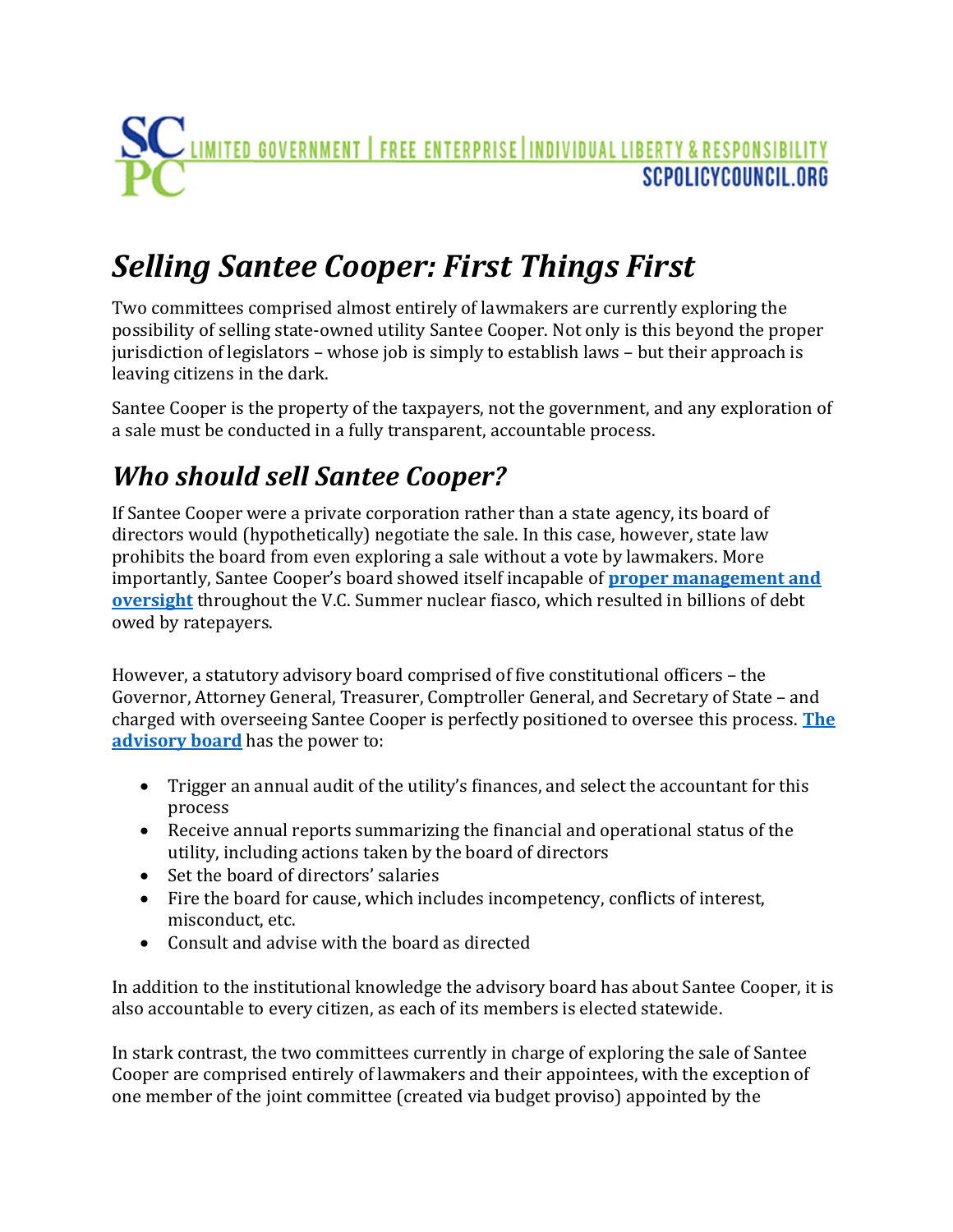## <u>LIMITED GOVERNMENT | FREE ENTERPRISE | INDIVIDUAL LIBERTY & RESPONSIBILITY</u> SCPOLICYCOUNCIL ORG

## Selling Santee Cooper: First Things First

Two committees comprised almost entirely of lawmakers are currently exploring the possibility of selling state-owned utility Santee Cooper. Not only is this beyond the proper jurisdiction of legislators – whose job is simply to establish laws – but their approach is leaving citizens in the dark.

Santee Cooper is the property of the taxpayers, not the government, and any exploration of a sale must be conducted in a fully transparent, accountable process.

## Who should sell Santee Cooper?

If Santee Cooper were a private corporation rather than a state agency, its board of directors would (hypothetically) negotiate the sale. In this case, however, state law prohibits the board from even exploring a sale without a vote by lawmakers. More importantly, Santee Cooper's board showed itself incapable of **proper management and** oversight throughout the V.C. Summer nuclear fiasco, which resulted in billions of debt owed by ratepayers.

However, a statutory advisory board comprised of five constitutional officers – the Governor, Attorney General, Treasurer, Comptroller General, and Secretary of State – and charged with overseeing Santee Cooper is perfectly positioned to oversee this process. The advisory board has the power to:

- Trigger an annual audit of the utility's finances, and select the accountant for this process
- Receive annual reports summarizing the financial and operational status of the utility, including actions taken by the board of directors
- Set the board of directors' salaries
- Fire the board for cause, which includes incompetency, conflicts of interest, misconduct, etc.
- Consult and advise with the board as directed

In addition to the institutional knowledge the advisory board has about Santee Cooper, it is also accountable to every citizen, as each of its members is elected statewide.

In stark contrast, the two committees currently in charge of exploring the sale of Santee Cooper are comprised entirely of lawmakers and their appointees, with the exception of one member of the joint committee (created via budget proviso) appointed by the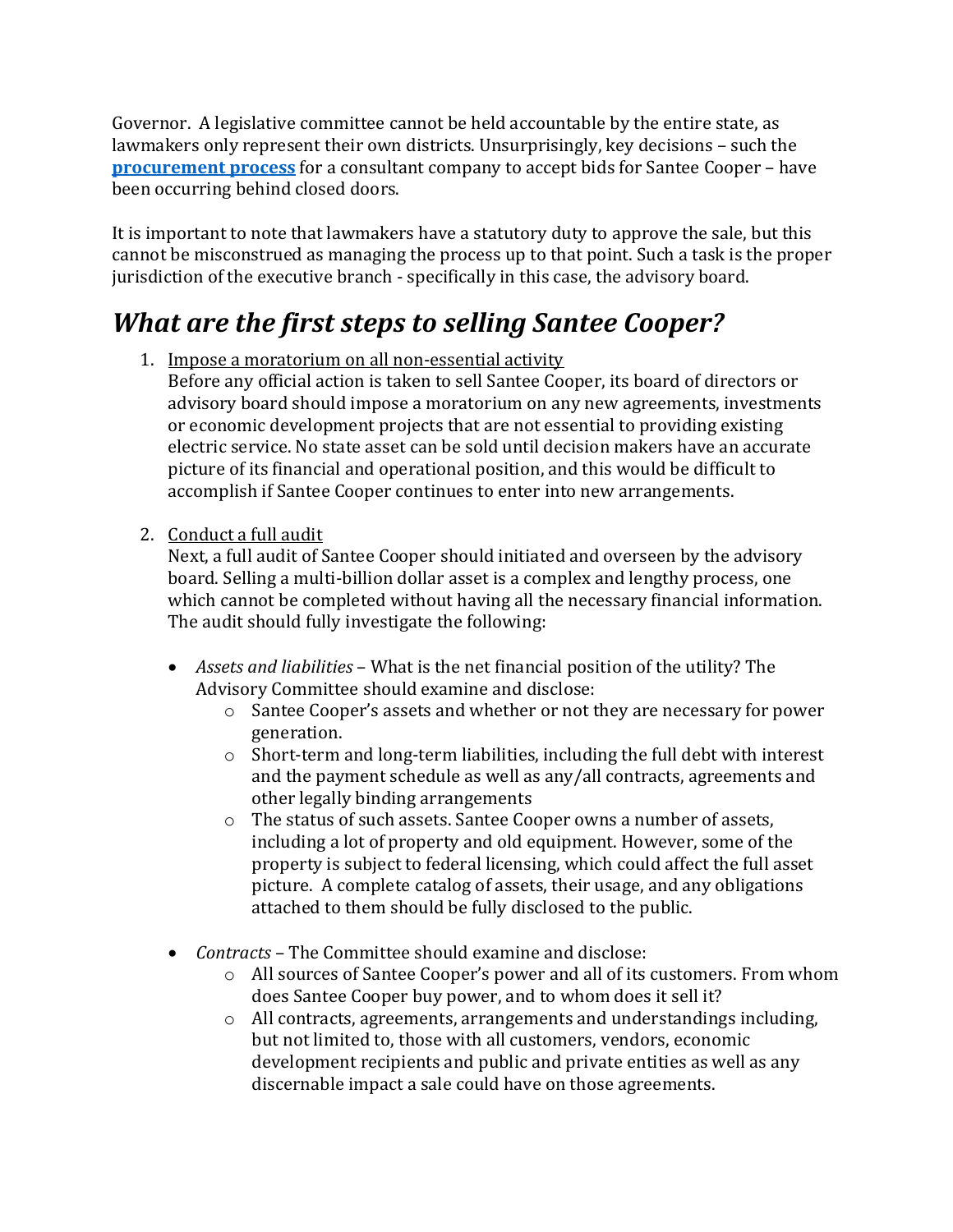Governor. A legislative committee cannot be held accountable by the entire state, as lawmakers only represent their own districts. Unsurprisingly, key decisions – such the procurement process for a consultant company to accept bids for Santee Cooper – have been occurring behind closed doors.

It is important to note that lawmakers have a statutory duty to approve the sale, but this cannot be misconstrued as managing the process up to that point. Such a task is the proper jurisdiction of the executive branch - specifically in this case, the advisory board.

## What are the first steps to selling Santee Cooper?

- 1. Impose a moratorium on all non-essential activity
	- Before any official action is taken to sell Santee Cooper, its board of directors or advisory board should impose a moratorium on any new agreements, investments or economic development projects that are not essential to providing existing electric service. No state asset can be sold until decision makers have an accurate picture of its financial and operational position, and this would be difficult to accomplish if Santee Cooper continues to enter into new arrangements.
- 2. Conduct a full audit

Next, a full audit of Santee Cooper should initiated and overseen by the advisory board. Selling a multi-billion dollar asset is a complex and lengthy process, one which cannot be completed without having all the necessary financial information. The audit should fully investigate the following:

- Assets and liabilities What is the net financial position of the utility? The Advisory Committee should examine and disclose:
	- o Santee Cooper's assets and whether or not they are necessary for power generation.
	- o Short-term and long-term liabilities, including the full debt with interest and the payment schedule as well as any/all contracts, agreements and other legally binding arrangements
	- o The status of such assets. Santee Cooper owns a number of assets, including a lot of property and old equipment. However, some of the property is subject to federal licensing, which could affect the full asset picture. A complete catalog of assets, their usage, and any obligations attached to them should be fully disclosed to the public.
- *Contracts* The Committee should examine and disclose:
	- o All sources of Santee Cooper's power and all of its customers. From whom does Santee Cooper buy power, and to whom does it sell it?
	- o All contracts, agreements, arrangements and understandings including, but not limited to, those with all customers, vendors, economic development recipients and public and private entities as well as any discernable impact a sale could have on those agreements.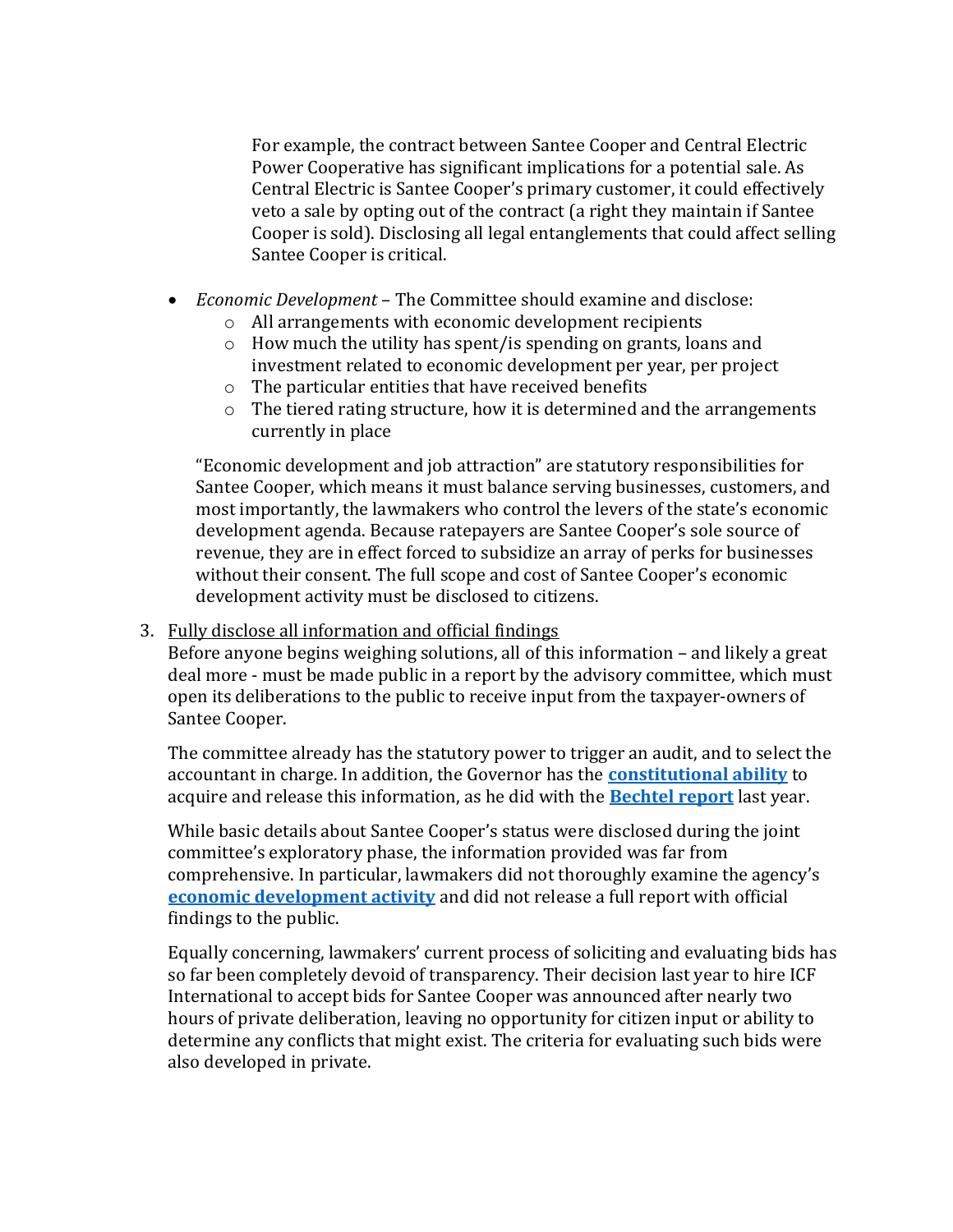For example, the contract between Santee Cooper and Central Electric Power Cooperative has significant implications for a potential sale. As Central Electric is Santee Cooper's primary customer, it could effectively veto a sale by opting out of the contract (a right they maintain if Santee Cooper is sold). Disclosing all legal entanglements that could affect selling Santee Cooper is critical.

- *Economic Development* The Committee should examine and disclose:
	- o All arrangements with economic development recipients
	- o How much the utility has spent/is spending on grants, loans and investment related to economic development per year, per project
	- o The particular entities that have received benefits
	- o The tiered rating structure, how it is determined and the arrangements currently in place

"Economic development and job attraction" are statutory responsibilities for Santee Cooper, which means it must balance serving businesses, customers, and most importantly, the lawmakers who control the levers of the state's economic development agenda. Because ratepayers are Santee Cooper's sole source of revenue, they are in effect forced to subsidize an array of perks for businesses without their consent. The full scope and cost of Santee Cooper's economic development activity must be disclosed to citizens.

3. Fully disclose all information and official findings

Before anyone begins weighing solutions, all of this information – and likely a great deal more - must be made public in a report by the advisory committee, which must open its deliberations to the public to receive input from the taxpayer-owners of Santee Cooper.

The committee already has the statutory power to trigger an audit, and to select the accountant in charge. In addition, the Governor has the **constitutional ability** to acquire and release this information, as he did with the **Bechtel report** last year.

While basic details about Santee Cooper's status were disclosed during the joint committee's exploratory phase, the information provided was far from comprehensive. In particular, lawmakers did not thoroughly examine the agency's **economic development activity** and did not release a full report with official findings to the public.

Equally concerning, lawmakers' current process of soliciting and evaluating bids has so far been completely devoid of transparency. Their decision last year to hire ICF International to accept bids for Santee Cooper was announced after nearly two hours of private deliberation, leaving no opportunity for citizen input or ability to determine any conflicts that might exist. The criteria for evaluating such bids were also developed in private.